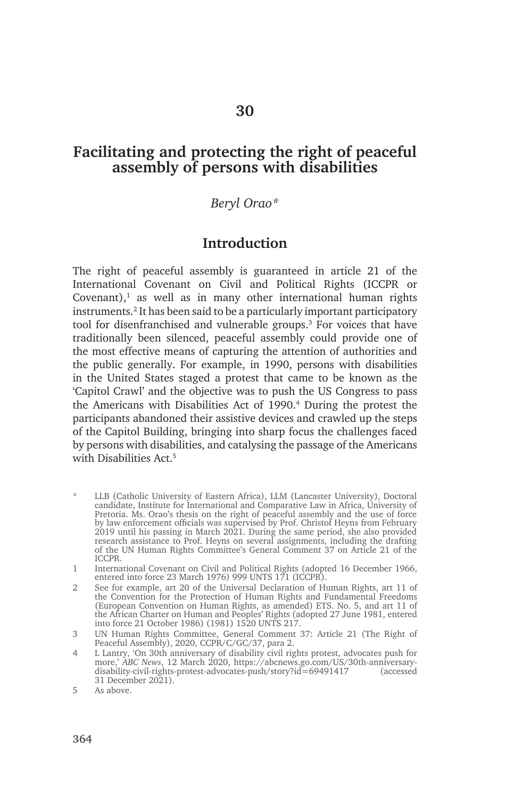# **Facilitating and protecting the right of peaceful assembly of persons with disabilities**

### *Beryl Orao\**

# **Introduction**

The right of peaceful assembly is guaranteed in article 21 of the International Covenant on Civil and Political Rights (ICCPR or Covenant), $<sup>1</sup>$  as well as in many other international human rights</sup> instruments.2 It has been said to be a particularly important participatory tool for disenfranchised and vulnerable groups.<sup>3</sup> For voices that have traditionally been silenced, peaceful assembly could provide one of the most effective means of capturing the attention of authorities and the public generally. For example, in 1990, persons with disabilities in the United States staged a protest that came to be known as the 'Capitol Crawl' and the objective was to push the US Congress to pass the Americans with Disabilities Act of 1990.<sup>4</sup> During the protest the participants abandoned their assistive devices and crawled up the steps of the Capitol Building, bringing into sharp focus the challenges faced by persons with disabilities, and catalysing the passage of the Americans with Disabilities Act<sup>5</sup>

- LLB (Catholic University of Eastern Africa), LLM (Lancaster University), Doctoral candidate, Institute for International and Comparative Law in Africa, University of Pretoria. Ms. Orao's thesis on the right of peaceful assembly and the use of force by law enforcement officials was supervised by Prof. Christof Heyns from February 2019 until his passing in March 2021. During the same period, she also provided research assistance to Prof. Heyns on several assignments, including the drafting of the UN Human Rights Committee's General Comment 37 on Article 21 of the ICCPR.
- 1 International Covenant on Civil and Political Rights (adopted 16 December 1966, entered into force 23 March 1976) 999 UNTS 171 (ICCPR).
- 2 See for example, art 20 of the Universal Declaration of Human Rights, art 11 of the Convention for the Protection of Human Rights and Fundamental Freedoms (European Convention on Human Rights, as amended) ETS. No. 5, and art 11 of the African Charter on Human and Peoples' Rights (adopted 27 June 1981, entered into force 21 October 1986) (1981) 1520 UNTS 217.
- 3 UN Human Rights Committee, General Comment 37: Article 21 (The Right of Peaceful Assembly), 2020, CCPR/C/GC/37, para 2.
- 4 L Lantry, 'On 30th anniversary of disability civil rights protest, advocates push for more,' *ABC News*, 12 March 2020, https://abcnews.go.com/US/30th-anniversarydisability-civil-rights-protest-advocates-push/story?id=69491417 (accessed 31 December 2021).

<sup>5</sup> As above.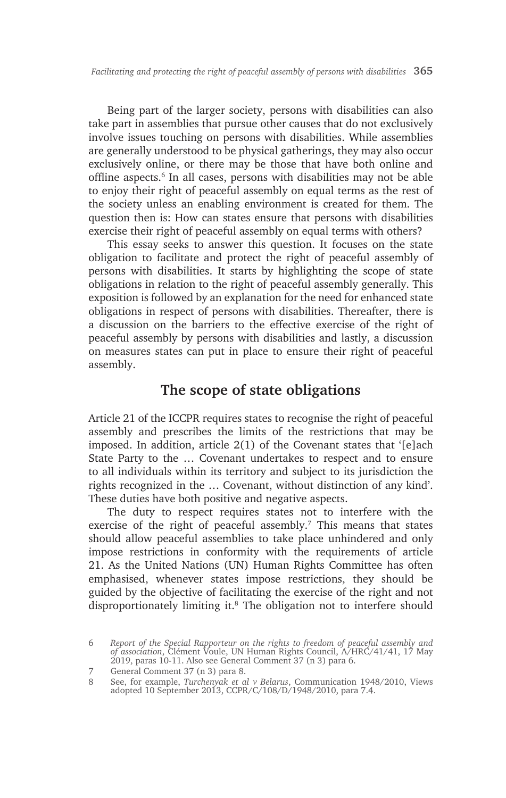Being part of the larger society, persons with disabilities can also take part in assemblies that pursue other causes that do not exclusively involve issues touching on persons with disabilities. While assemblies are generally understood to be physical gatherings, they may also occur exclusively online, or there may be those that have both online and offline aspects.<sup>6</sup> In all cases, persons with disabilities may not be able to enjoy their right of peaceful assembly on equal terms as the rest of the society unless an enabling environment is created for them. The question then is: How can states ensure that persons with disabilities exercise their right of peaceful assembly on equal terms with others?

This essay seeks to answer this question. It focuses on the state obligation to facilitate and protect the right of peaceful assembly of persons with disabilities. It starts by highlighting the scope of state obligations in relation to the right of peaceful assembly generally. This exposition is followed by an explanation for the need for enhanced state obligations in respect of persons with disabilities. Thereafter, there is a discussion on the barriers to the effective exercise of the right of peaceful assembly by persons with disabilities and lastly, a discussion on measures states can put in place to ensure their right of peaceful assembly.

# **The scope of state obligations**

Article 21 of the ICCPR requires states to recognise the right of peaceful assembly and prescribes the limits of the restrictions that may be imposed. In addition, article 2(1) of the Covenant states that '[e]ach State Party to the … Covenant undertakes to respect and to ensure to all individuals within its territory and subject to its jurisdiction the rights recognized in the … Covenant, without distinction of any kind'. These duties have both positive and negative aspects.

The duty to respect requires states not to interfere with the exercise of the right of peaceful assembly.<sup>7</sup> This means that states should allow peaceful assemblies to take place unhindered and only impose restrictions in conformity with the requirements of article 21. As the United Nations (UN) Human Rights Committee has often emphasised, whenever states impose restrictions, they should be guided by the objective of facilitating the exercise of the right and not disproportionately limiting it.8 The obligation not to interfere should

<sup>6</sup> *Report of the Special Rapporteur on the rights to freedom of peaceful assembly and of association*, Clément Voule, UN Human Rights Council, A/HRC/41/41, 17 May 2019, paras 10-11. Also see General Comment 37 (n 3) para 6.

<sup>7</sup> General Comment 37 (n 3) para 8.

<sup>8</sup> See, for example, *Turchenyak et al v Belarus*, Communication 1948/2010, Views adopted 10 September 2013, CCPR/C/108/D/1948/2010, para 7.4.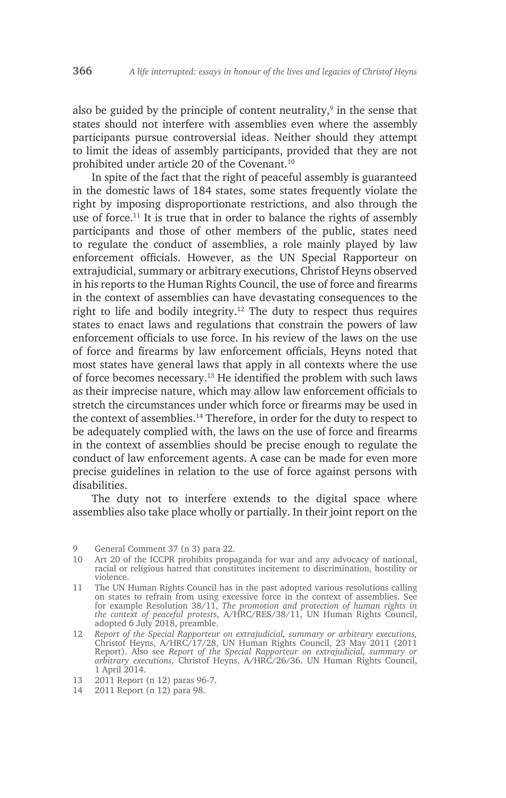also be guided by the principle of content neutrality, $9$  in the sense that states should not interfere with assemblies even where the assembly participants pursue controversial ideas. Neither should they attempt to limit the ideas of assembly participants, provided that they are not prohibited under article 20 of the Covenant.10

In spite of the fact that the right of peaceful assembly is guaranteed in the domestic laws of 184 states, some states frequently violate the right by imposing disproportionate restrictions, and also through the use of force.11 It is true that in order to balance the rights of assembly participants and those of other members of the public, states need to regulate the conduct of assemblies, a role mainly played by law enforcement officials. However, as the UN Special Rapporteur on extrajudicial, summary or arbitrary executions, Christof Heyns observed in his reports to the Human Rights Council, the use of force and firearms in the context of assemblies can have devastating consequences to the right to life and bodily integrity.<sup>12</sup> The duty to respect thus requires states to enact laws and regulations that constrain the powers of law enforcement officials to use force. In his review of the laws on the use of force and firearms by law enforcement officials, Heyns noted that most states have general laws that apply in all contexts where the use of force becomes necessary.13 He identified the problem with such laws as their imprecise nature, which may allow law enforcement officials to stretch the circumstances under which force or firearms may be used in the context of assemblies.<sup>14</sup> Therefore, in order for the duty to respect to be adequately complied with, the laws on the use of force and firearms in the context of assemblies should be precise enough to regulate the conduct of law enforcement agents. A case can be made for even more precise guidelines in relation to the use of force against persons with disabilities.

The duty not to interfere extends to the digital space where assemblies also take place wholly or partially. In their joint report on the

14 2011 Report (n 12) para 98.

<sup>9</sup> General Comment 37 (n 3) para 22.

<sup>10</sup> Art 20 of the ICCPR prohibits propaganda for war and any advocacy of national, racial or religious hatred that constitutes incitement to discrimination, hostility or violence.

<sup>11</sup> The UN Human Rights Council has in the past adopted various resolutions calling on states to refrain from using excessive force in the context of assemblies. See for example Resolution 38/11, *The promotion and protection of human rights in the context of peaceful protest*s, A/HRC/RES/38/11, UN Human Rights Council, adopted 6 July 2018, preamble.

<sup>12</sup> *Report of the Special Rapporteur on extrajudicial, summary or arbitrary executions,*  Christof Heyns, A/HRC/17/28, UN Human Rights Council, 23 May 2011 (2011 Report). Also see *Report of the Special Rapporteur on extrajudicial, summary or arbitrary executions,* Christof Heyns, A/HRC/26/36. UN Human Rights Council, 1 April 2014.

<sup>13</sup> 2011 Report (n 12) paras 96-7.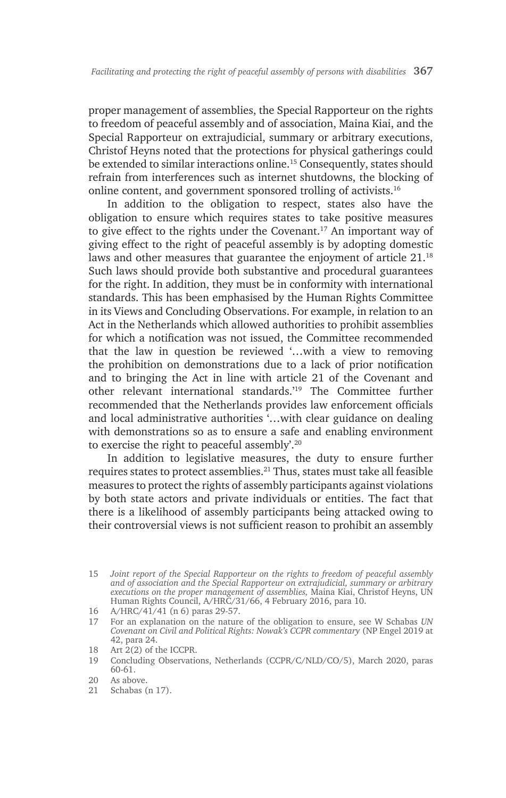proper management of assemblies, the Special Rapporteur on the rights to freedom of peaceful assembly and of association, Maina Kiai, and the Special Rapporteur on extrajudicial, summary or arbitrary executions, Christof Heyns noted that the protections for physical gatherings could be extended to similar interactions online.<sup>15</sup> Consequently, states should refrain from interferences such as internet shutdowns, the blocking of online content, and government sponsored trolling of activists.16

In addition to the obligation to respect, states also have the obligation to ensure which requires states to take positive measures to give effect to the rights under the Covenant.17 An important way of giving effect to the right of peaceful assembly is by adopting domestic laws and other measures that guarantee the enjoyment of article 21.18 Such laws should provide both substantive and procedural guarantees for the right. In addition, they must be in conformity with international standards. This has been emphasised by the Human Rights Committee in its Views and Concluding Observations. For example, in relation to an Act in the Netherlands which allowed authorities to prohibit assemblies for which a notification was not issued, the Committee recommended that the law in question be reviewed '…with a view to removing the prohibition on demonstrations due to a lack of prior notification and to bringing the Act in line with article 21 of the Covenant and other relevant international standards.'19 The Committee further recommended that the Netherlands provides law enforcement officials and local administrative authorities '…with clear guidance on dealing with demonstrations so as to ensure a safe and enabling environment to exercise the right to peaceful assembly'.20

In addition to legislative measures, the duty to ensure further requires states to protect assemblies.21 Thus, states must take all feasible measures to protect the rights of assembly participants against violations by both state actors and private individuals or entities. The fact that there is a likelihood of assembly participants being attacked owing to their controversial views is not sufficient reason to prohibit an assembly

17 For an explanation on the nature of the obligation to ensure, see W Schabas *UN Covenant on Civil and Political Rights: Nowak's CCPR commentary* (NP Engel 2019 at 42, para 24.

19 Concluding Observations, Netherlands (CCPR/C/NLD/CO/5), March 2020, paras 60-61.

21 Schabas (n 17).

<sup>15</sup> *Joint report of the Special Rapporteur on the rights to freedom of peaceful assembly and of association and the Special Rapporteur on extrajudicial, summary or arbitrary executions on the proper management of assemblies,* Maina Kiai, Christof Heyns, UN Human Rights Council, A/HRC/31/66, 4 February 2016, para 10.

<sup>16</sup> A/HRC/41/41 (n 6) paras 29-57.

<sup>18</sup> Art 2(2) of the ICCPR.

<sup>20</sup> As above.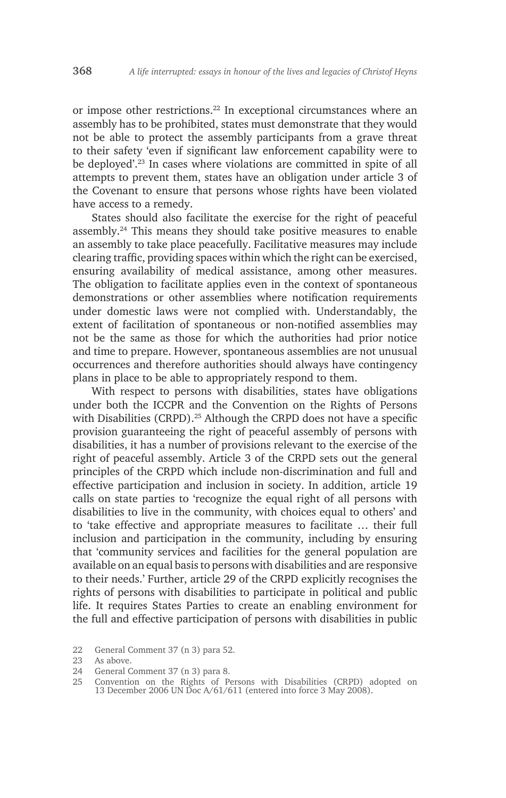or impose other restrictions.<sup>22</sup> In exceptional circumstances where an assembly has to be prohibited, states must demonstrate that they would not be able to protect the assembly participants from a grave threat to their safety 'even if significant law enforcement capability were to be deployed'.23 In cases where violations are committed in spite of all attempts to prevent them, states have an obligation under article 3 of the Covenant to ensure that persons whose rights have been violated have access to a remedy.

States should also facilitate the exercise for the right of peaceful assembly.24 This means they should take positive measures to enable an assembly to take place peacefully. Facilitative measures may include clearing traffic, providing spaces within which the right can be exercised, ensuring availability of medical assistance, among other measures. The obligation to facilitate applies even in the context of spontaneous demonstrations or other assemblies where notification requirements under domestic laws were not complied with. Understandably, the extent of facilitation of spontaneous or non-notified assemblies may not be the same as those for which the authorities had prior notice and time to prepare. However, spontaneous assemblies are not unusual occurrences and therefore authorities should always have contingency plans in place to be able to appropriately respond to them.

With respect to persons with disabilities, states have obligations under both the ICCPR and the Convention on the Rights of Persons with Disabilities (CRPD).<sup>25</sup> Although the CRPD does not have a specific provision guaranteeing the right of peaceful assembly of persons with disabilities, it has a number of provisions relevant to the exercise of the right of peaceful assembly. Article 3 of the CRPD sets out the general principles of the CRPD which include non-discrimination and full and effective participation and inclusion in society. In addition, article 19 calls on state parties to 'recognize the equal right of all persons with disabilities to live in the community, with choices equal to others' and to 'take effective and appropriate measures to facilitate … their full inclusion and participation in the community, including by ensuring that 'community services and facilities for the general population are available on an equal basis to persons with disabilities and are responsive to their needs.' Further, article 29 of the CRPD explicitly recognises the rights of persons with disabilities to participate in political and public life. It requires States Parties to create an enabling environment for the full and effective participation of persons with disabilities in public

<sup>22</sup> General Comment 37 (n 3) para 52.

<sup>23</sup> As above.

<sup>24</sup> General Comment 37 (n 3) para 8.

<sup>25</sup> Convention on the Rights of Persons with Disabilities (CRPD) adopted on 13 December 2006 UN Doc A/61/611 (entered into force 3 May 2008).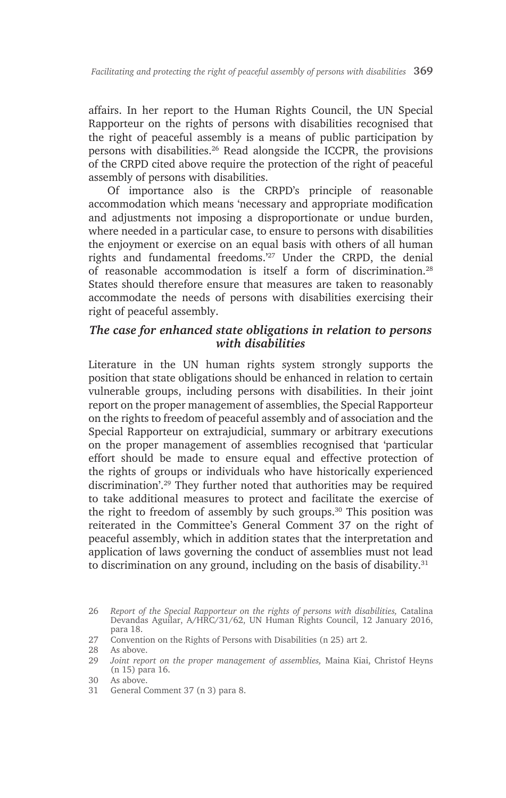affairs. In her report to the Human Rights Council, the UN Special Rapporteur on the rights of persons with disabilities recognised that the right of peaceful assembly is a means of public participation by persons with disabilities.26 Read alongside the ICCPR, the provisions of the CRPD cited above require the protection of the right of peaceful assembly of persons with disabilities.

Of importance also is the CRPD's principle of reasonable accommodation which means 'necessary and appropriate modification and adjustments not imposing a disproportionate or undue burden, where needed in a particular case, to ensure to persons with disabilities the enjoyment or exercise on an equal basis with others of all human rights and fundamental freedoms.'27 Under the CRPD, the denial of reasonable accommodation is itself a form of discrimination.28 States should therefore ensure that measures are taken to reasonably accommodate the needs of persons with disabilities exercising their right of peaceful assembly.

#### *The case for enhanced state obligations in relation to persons with disabilities*

Literature in the UN human rights system strongly supports the position that state obligations should be enhanced in relation to certain vulnerable groups, including persons with disabilities. In their joint report on the proper management of assemblies, the Special Rapporteur on the rights to freedom of peaceful assembly and of association and the Special Rapporteur on extrajudicial, summary or arbitrary executions on the proper management of assemblies recognised that 'particular effort should be made to ensure equal and effective protection of the rights of groups or individuals who have historically experienced discrimination'.29 They further noted that authorities may be required to take additional measures to protect and facilitate the exercise of the right to freedom of assembly by such groups.30 This position was reiterated in the Committee's General Comment 37 on the right of peaceful assembly, which in addition states that the interpretation and application of laws governing the conduct of assemblies must not lead to discrimination on any ground, including on the basis of disability. $31$ 

<sup>26</sup> *Report of the Special Rapporteur on the rights of persons with disabilities,* Catalina Devandas Aguilar, A/HRC/31/62, UN Human Rights Council, 12 January 2016, para 18.

<sup>27</sup> Convention on the Rights of Persons with Disabilities (n 25) art 2.

<sup>28</sup> As above.

<sup>29</sup> *Joint report on the proper management of assemblies,* Maina Kiai, Christof Heyns (n 15) para 16.

<sup>30</sup> As above.

<sup>31</sup> General Comment 37 (n 3) para 8.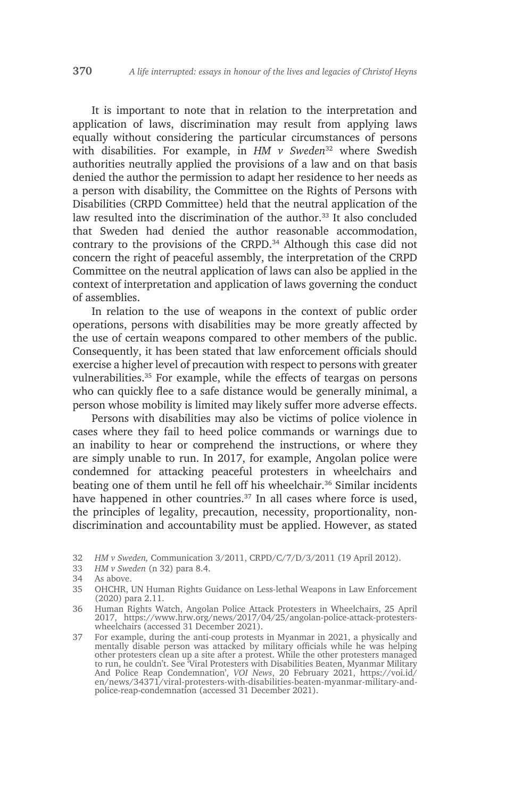It is important to note that in relation to the interpretation and application of laws, discrimination may result from applying laws equally without considering the particular circumstances of persons with disabilities. For example, in *HM v Sweden*<sup>32</sup> where Swedish authorities neutrally applied the provisions of a law and on that basis denied the author the permission to adapt her residence to her needs as a person with disability, the Committee on the Rights of Persons with Disabilities (CRPD Committee) held that the neutral application of the law resulted into the discrimination of the author.<sup>33</sup> It also concluded that Sweden had denied the author reasonable accommodation, contrary to the provisions of the CRPD.<sup>34</sup> Although this case did not concern the right of peaceful assembly, the interpretation of the CRPD Committee on the neutral application of laws can also be applied in the context of interpretation and application of laws governing the conduct of assemblies.

In relation to the use of weapons in the context of public order operations, persons with disabilities may be more greatly affected by the use of certain weapons compared to other members of the public. Consequently, it has been stated that law enforcement officials should exercise a higher level of precaution with respect to persons with greater vulnerabilities.35 For example, while the effects of teargas on persons who can quickly flee to a safe distance would be generally minimal, a person whose mobility is limited may likely suffer more adverse effects.

Persons with disabilities may also be victims of police violence in cases where they fail to heed police commands or warnings due to an inability to hear or comprehend the instructions, or where they are simply unable to run. In 2017, for example, Angolan police were condemned for attacking peaceful protesters in wheelchairs and beating one of them until he fell off his wheelchair.<sup>36</sup> Similar incidents have happened in other countries.<sup>37</sup> In all cases where force is used, the principles of legality, precaution, necessity, proportionality, nondiscrimination and accountability must be applied. However, as stated

33 *HM v Sweden* (n 32) para 8.4.

- 36 Human Rights Watch, Angolan Police Attack Protesters in Wheelchairs, 25 April 2017, https://www.hrw.org/news/2017/04/25/angolan-police-attack-protesterswheelchairs (accessed 31 December 2021).
- 37 For example, during the anti-coup protests in Myanmar in 2021, a physically and mentally disable person was attacked by military officials while he was helping other protesters clean up a site after a protest. While the other protesters managed to run, he couldn't. See 'Viral Protesters with Disabilities Beaten, Myanmar Military And Police Reap Condemnation', *VOI News*, 20 February 2021, https://voi.id/ en/news/34371/viral-protesters-with-disabilities-beaten-myanmar-military-andpolice-reap-condemnation (accessed 31 December 2021).

<sup>32</sup> *HM v Sweden,* Communication 3/2011, CRPD/C/7/D/3/2011 (19 April 2012).

<sup>34</sup> As above.

<sup>35</sup> OHCHR, UN Human Rights Guidance on Less-lethal Weapons in Law Enforcement (2020) para 2.11.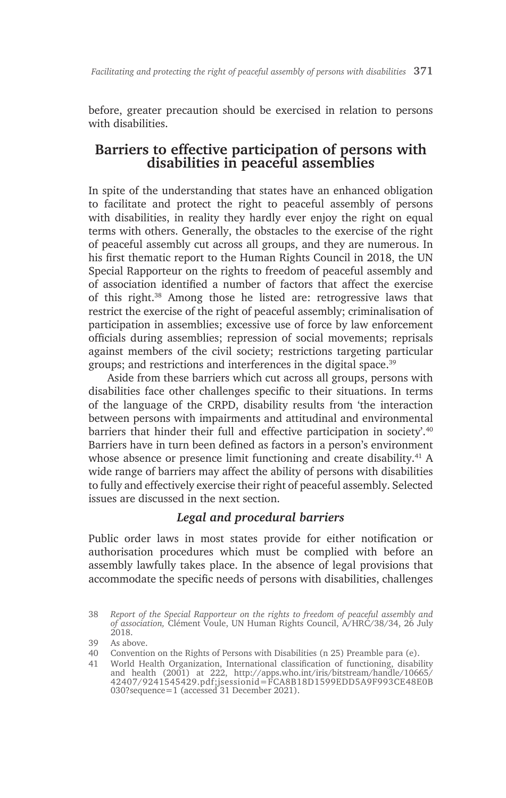before, greater precaution should be exercised in relation to persons with disabilities.

# **Barriers to effective participation of persons with disabilities in peaceful assemblies**

In spite of the understanding that states have an enhanced obligation to facilitate and protect the right to peaceful assembly of persons with disabilities, in reality they hardly ever enjoy the right on equal terms with others. Generally, the obstacles to the exercise of the right of peaceful assembly cut across all groups, and they are numerous. In his first thematic report to the Human Rights Council in 2018, the UN Special Rapporteur on the rights to freedom of peaceful assembly and of association identified a number of factors that affect the exercise of this right.38 Among those he listed are: retrogressive laws that restrict the exercise of the right of peaceful assembly; criminalisation of participation in assemblies; excessive use of force by law enforcement officials during assemblies; repression of social movements; reprisals against members of the civil society; restrictions targeting particular groups; and restrictions and interferences in the digital space.39

Aside from these barriers which cut across all groups, persons with disabilities face other challenges specific to their situations. In terms of the language of the CRPD, disability results from 'the interaction between persons with impairments and attitudinal and environmental barriers that hinder their full and effective participation in society'.<sup>40</sup> Barriers have in turn been defined as factors in a person's environment whose absence or presence limit functioning and create disability.<sup>41</sup> A wide range of barriers may affect the ability of persons with disabilities to fully and effectively exercise their right of peaceful assembly. Selected issues are discussed in the next section.

## *Legal and procedural barriers*

Public order laws in most states provide for either notification or authorisation procedures which must be complied with before an assembly lawfully takes place. In the absence of legal provisions that accommodate the specific needs of persons with disabilities, challenges

<sup>38</sup> *Report of the Special Rapporteur on the rights to freedom of peaceful assembly and of association,* Clément Voule, UN Human Rights Council, A/HRC/38/34, 26 July 2018.

<sup>39</sup> As above.

<sup>40</sup> Convention on the Rights of Persons with Disabilities (n 25) Preamble para (e).

<sup>41</sup> World Health Organization, International classification of functioning, disability and health (2001) at 222, http://apps.who.int/iris/bitstream/handle/10665/ 42407/9241545429.pdf;jsessionid=FCA8B18D1599EDD5A9F993CE48E0B 030?sequence=1 (accessed 31 December 2021).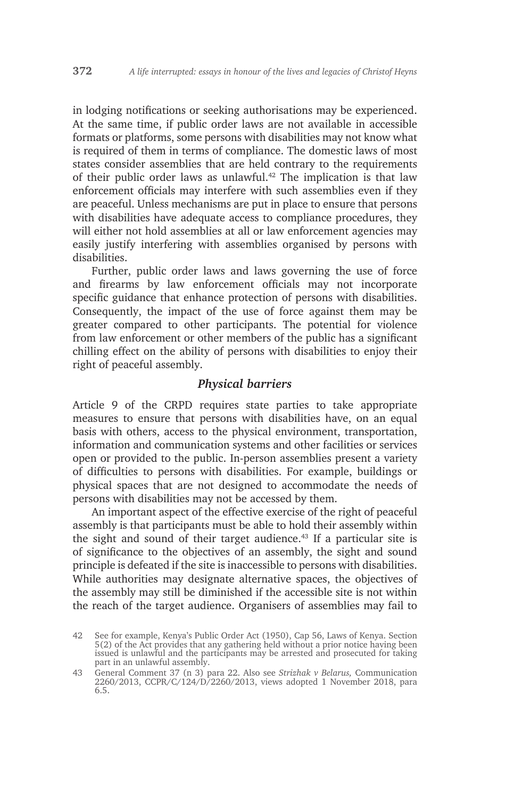in lodging notifications or seeking authorisations may be experienced. At the same time, if public order laws are not available in accessible formats or platforms, some persons with disabilities may not know what is required of them in terms of compliance. The domestic laws of most states consider assemblies that are held contrary to the requirements of their public order laws as unlawful.<sup>42</sup> The implication is that law enforcement officials may interfere with such assemblies even if they are peaceful. Unless mechanisms are put in place to ensure that persons with disabilities have adequate access to compliance procedures, they will either not hold assemblies at all or law enforcement agencies may easily justify interfering with assemblies organised by persons with disabilities.

Further, public order laws and laws governing the use of force and firearms by law enforcement officials may not incorporate specific guidance that enhance protection of persons with disabilities. Consequently, the impact of the use of force against them may be greater compared to other participants. The potential for violence from law enforcement or other members of the public has a significant chilling effect on the ability of persons with disabilities to enjoy their right of peaceful assembly.

#### *Physical barriers*

Article 9 of the CRPD requires state parties to take appropriate measures to ensure that persons with disabilities have, on an equal basis with others, access to the physical environment, transportation, information and communication systems and other facilities or services open or provided to the public. In-person assemblies present a variety of difficulties to persons with disabilities. For example, buildings or physical spaces that are not designed to accommodate the needs of persons with disabilities may not be accessed by them.

An important aspect of the effective exercise of the right of peaceful assembly is that participants must be able to hold their assembly within the sight and sound of their target audience.<sup>43</sup> If a particular site is of significance to the objectives of an assembly, the sight and sound principle is defeated if the site is inaccessible to persons with disabilities. While authorities may designate alternative spaces, the objectives of the assembly may still be diminished if the accessible site is not within the reach of the target audience. Organisers of assemblies may fail to

<sup>42</sup> See for example, Kenya's Public Order Act (1950), Cap 56, Laws of Kenya. Section 5(2) of the Act provides that any gathering held without a prior notice having been issued is unlawful and the participants may be arrested and prosecuted for taking part in an unlawful assembly.

<sup>43</sup> General Comment 37 (n 3) para 22. Also see *Strizhak v Belarus,* Communication 2260/2013, CCPR/C/124/D/2260/2013, views adopted 1 November 2018, para 6.5.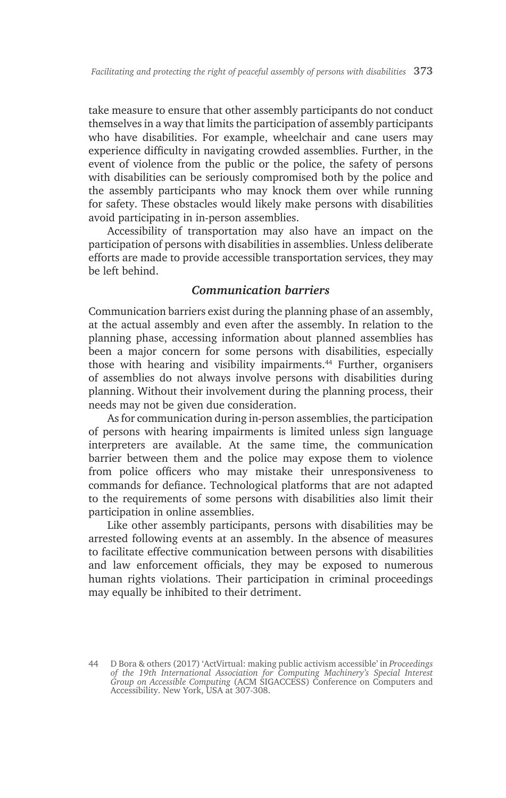take measure to ensure that other assembly participants do not conduct themselves in a way that limits the participation of assembly participants who have disabilities. For example, wheelchair and cane users may experience difficulty in navigating crowded assemblies. Further, in the event of violence from the public or the police, the safety of persons with disabilities can be seriously compromised both by the police and the assembly participants who may knock them over while running for safety. These obstacles would likely make persons with disabilities avoid participating in in-person assemblies.

Accessibility of transportation may also have an impact on the participation of persons with disabilities in assemblies. Unless deliberate efforts are made to provide accessible transportation services, they may be left behind.

#### *Communication barriers*

Communication barriers exist during the planning phase of an assembly, at the actual assembly and even after the assembly. In relation to the planning phase, accessing information about planned assemblies has been a major concern for some persons with disabilities, especially those with hearing and visibility impairments.<sup>44</sup> Further, organisers of assemblies do not always involve persons with disabilities during planning. Without their involvement during the planning process, their needs may not be given due consideration.

As for communication during in-person assemblies, the participation of persons with hearing impairments is limited unless sign language interpreters are available. At the same time, the communication barrier between them and the police may expose them to violence from police officers who may mistake their unresponsiveness to commands for defiance. Technological platforms that are not adapted to the requirements of some persons with disabilities also limit their participation in online assemblies.

Like other assembly participants, persons with disabilities may be arrested following events at an assembly. In the absence of measures to facilitate effective communication between persons with disabilities and law enforcement officials, they may be exposed to numerous human rights violations. Their participation in criminal proceedings may equally be inhibited to their detriment.

<sup>44</sup> D Bora & others (2017) 'ActVirtual: making public activism accessible' in *Proceedings of the 19th International Association for Computing Machinery's Special Interest Group on Accessible Computing* (ACM SIGACCESS) Conference on Computers and Accessibility. New York, USA at 307-308.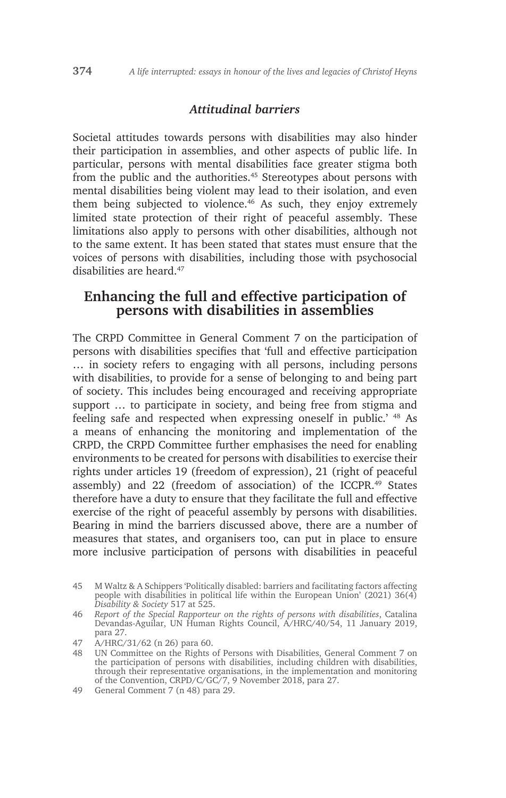#### *Attitudinal barriers*

Societal attitudes towards persons with disabilities may also hinder their participation in assemblies, and other aspects of public life. In particular, persons with mental disabilities face greater stigma both from the public and the authorities.<sup>45</sup> Stereotypes about persons with mental disabilities being violent may lead to their isolation, and even them being subjected to violence.<sup>46</sup> As such, they enjoy extremely limited state protection of their right of peaceful assembly. These limitations also apply to persons with other disabilities, although not to the same extent. It has been stated that states must ensure that the voices of persons with disabilities, including those with psychosocial disabilities are heard.<sup>47</sup>

# **Enhancing the full and effective participation of persons with disabilities in assemblies**

The CRPD Committee in General Comment 7 on the participation of persons with disabilities specifies that 'full and effective participation … in society refers to engaging with all persons, including persons with disabilities, to provide for a sense of belonging to and being part of society. This includes being encouraged and receiving appropriate support … to participate in society, and being free from stigma and feeling safe and respected when expressing oneself in public.' 48 As a means of enhancing the monitoring and implementation of the CRPD, the CRPD Committee further emphasises the need for enabling environments to be created for persons with disabilities to exercise their rights under articles 19 (freedom of expression), 21 (right of peaceful assembly) and 22 (freedom of association) of the ICCPR.<sup>49</sup> States therefore have a duty to ensure that they facilitate the full and effective exercise of the right of peaceful assembly by persons with disabilities. Bearing in mind the barriers discussed above, there are a number of measures that states, and organisers too, can put in place to ensure more inclusive participation of persons with disabilities in peaceful

<sup>45</sup> M Waltz & A Schippers 'Politically disabled: barriers and facilitating factors affecting people with disabilities in political life within the European Union' (2021) 36(4) *Disability & Society* 517 at 525.

<sup>46</sup> *Report of the Special Rapporteur on the rights of persons with disabilities*, Catalina Devandas-Aguilar, UN Human Rights Council, A/HRC/40/54, 11 January 2019, para 27.

<sup>47</sup> A/HRC/31/62 (n 26) para 60.

<sup>48</sup> UN Committee on the Rights of Persons with Disabilities, General Comment 7 on the participation of persons with disabilities, including children with disabilities, through their representative organisations, in the implementation and monitoring of the Convention, CRPD/C/GC/7, 9 November 2018, para 27.

<sup>49</sup> General Comment 7 (n 48) para 29.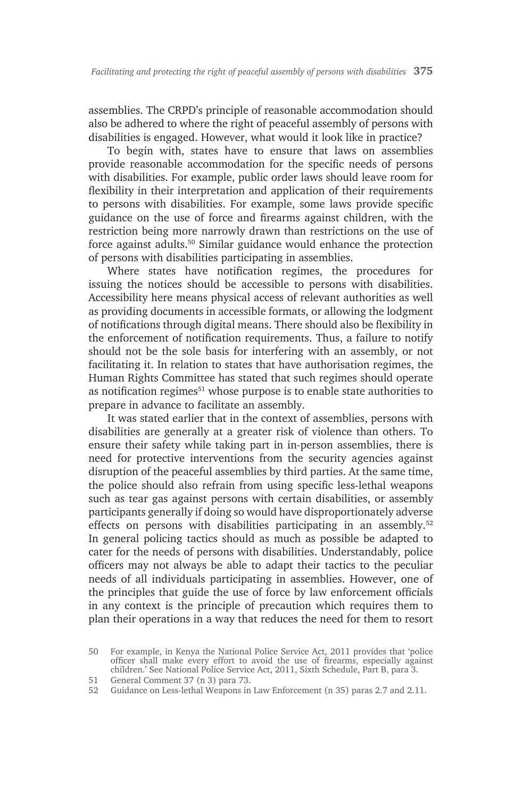assemblies. The CRPD's principle of reasonable accommodation should also be adhered to where the right of peaceful assembly of persons with disabilities is engaged. However, what would it look like in practice?

To begin with, states have to ensure that laws on assemblies provide reasonable accommodation for the specific needs of persons with disabilities. For example, public order laws should leave room for flexibility in their interpretation and application of their requirements to persons with disabilities. For example, some laws provide specific guidance on the use of force and firearms against children, with the restriction being more narrowly drawn than restrictions on the use of force against adults.50 Similar guidance would enhance the protection of persons with disabilities participating in assemblies.

Where states have notification regimes, the procedures for issuing the notices should be accessible to persons with disabilities. Accessibility here means physical access of relevant authorities as well as providing documents in accessible formats, or allowing the lodgment of notifications through digital means. There should also be flexibility in the enforcement of notification requirements. Thus, a failure to notify should not be the sole basis for interfering with an assembly, or not facilitating it. In relation to states that have authorisation regimes, the Human Rights Committee has stated that such regimes should operate as notification regimes<sup>51</sup> whose purpose is to enable state authorities to prepare in advance to facilitate an assembly.

It was stated earlier that in the context of assemblies, persons with disabilities are generally at a greater risk of violence than others. To ensure their safety while taking part in in-person assemblies, there is need for protective interventions from the security agencies against disruption of the peaceful assemblies by third parties. At the same time, the police should also refrain from using specific less-lethal weapons such as tear gas against persons with certain disabilities, or assembly participants generally if doing so would have disproportionately adverse effects on persons with disabilities participating in an assembly.<sup>52</sup> In general policing tactics should as much as possible be adapted to cater for the needs of persons with disabilities. Understandably, police officers may not always be able to adapt their tactics to the peculiar needs of all individuals participating in assemblies. However, one of the principles that guide the use of force by law enforcement officials in any context is the principle of precaution which requires them to plan their operations in a way that reduces the need for them to resort

- 51 General Comment 37 (n 3) para 73.
- 52 Guidance on Less-lethal Weapons in Law Enforcement (n 35) paras 2.7 and 2.11.

<sup>50</sup> For example, in Kenya the National Police Service Act, 2011 provides that 'police officer shall make every effort to avoid the use of firearms, especially against children.' See National Police Service Act, 2011, Sixth Schedule, Part B, para 3.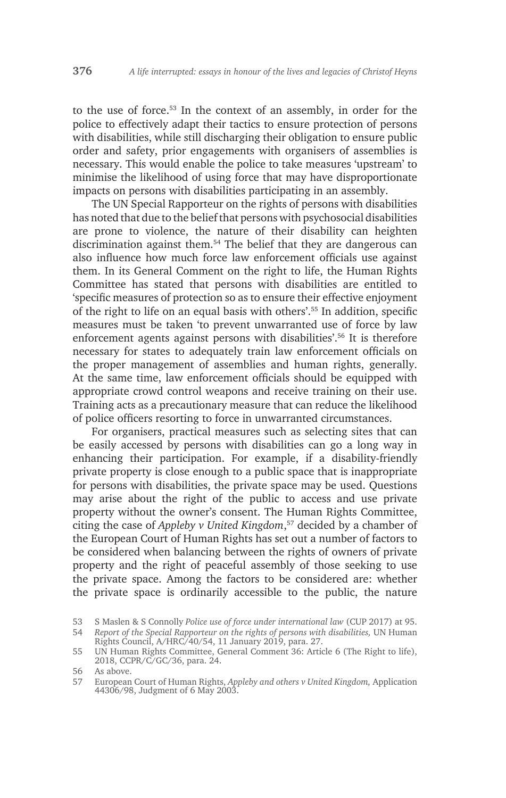to the use of force.53 In the context of an assembly, in order for the police to effectively adapt their tactics to ensure protection of persons with disabilities, while still discharging their obligation to ensure public order and safety, prior engagements with organisers of assemblies is necessary. This would enable the police to take measures 'upstream' to minimise the likelihood of using force that may have disproportionate impacts on persons with disabilities participating in an assembly.

The UN Special Rapporteur on the rights of persons with disabilities has noted that due to the belief that persons with psychosocial disabilities are prone to violence, the nature of their disability can heighten discrimination against them.54 The belief that they are dangerous can also influence how much force law enforcement officials use against them. In its General Comment on the right to life, the Human Rights Committee has stated that persons with disabilities are entitled to 'specific measures of protection so as to ensure their effective enjoyment of the right to life on an equal basis with others'.55 In addition, specific measures must be taken 'to prevent unwarranted use of force by law enforcement agents against persons with disabilities'.56 It is therefore necessary for states to adequately train law enforcement officials on the proper management of assemblies and human rights, generally. At the same time, law enforcement officials should be equipped with appropriate crowd control weapons and receive training on their use. Training acts as a precautionary measure that can reduce the likelihood of police officers resorting to force in unwarranted circumstances.

For organisers, practical measures such as selecting sites that can be easily accessed by persons with disabilities can go a long way in enhancing their participation. For example, if a disability-friendly private property is close enough to a public space that is inappropriate for persons with disabilities, the private space may be used. Questions may arise about the right of the public to access and use private property without the owner's consent. The Human Rights Committee, citing the case of *Appleby v United Kingdom*, 57 decided by a chamber of the European Court of Human Rights has set out a number of factors to be considered when balancing between the rights of owners of private property and the right of peaceful assembly of those seeking to use the private space. Among the factors to be considered are: whether the private space is ordinarily accessible to the public, the nature

<sup>53</sup> S Maslen & S Connolly *Police use of force under international law* (CUP 2017) at 95.

<sup>54</sup> *Report of the Special Rapporteur on the rights of persons with disabilities,* UN Human Rights Council, A/HRC/40/54, 11 January 2019, para. 27.

<sup>55</sup> UN Human Rights Committee, General Comment 36: Article 6 (The Right to life), 2018, CCPR/C/GC/36, para. 24.

<sup>56</sup> As above.

<sup>57</sup> European Court of Human Rights, *Appleby and others v United Kingdom,* Application 44306/98, Judgment of 6 May 2003.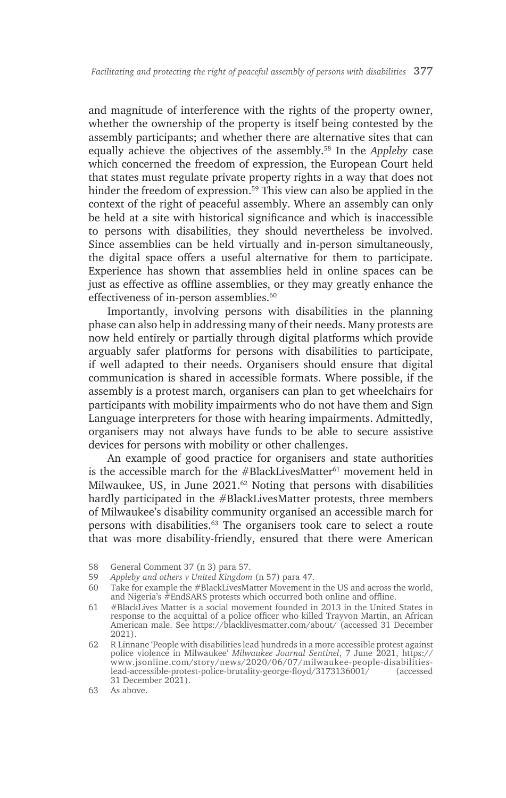and magnitude of interference with the rights of the property owner, whether the ownership of the property is itself being contested by the assembly participants; and whether there are alternative sites that can equally achieve the objectives of the assembly.58 In the *Appleby* case which concerned the freedom of expression, the European Court held that states must regulate private property rights in a way that does not hinder the freedom of expression.59 This view can also be applied in the context of the right of peaceful assembly. Where an assembly can only be held at a site with historical significance and which is inaccessible to persons with disabilities, they should nevertheless be involved. Since assemblies can be held virtually and in-person simultaneously, the digital space offers a useful alternative for them to participate. Experience has shown that assemblies held in online spaces can be just as effective as offline assemblies, or they may greatly enhance the effectiveness of in-person assemblies.<sup>60</sup>

Importantly, involving persons with disabilities in the planning phase can also help in addressing many of their needs. Many protests are now held entirely or partially through digital platforms which provide arguably safer platforms for persons with disabilities to participate, if well adapted to their needs. Organisers should ensure that digital communication is shared in accessible formats. Where possible, if the assembly is a protest march, organisers can plan to get wheelchairs for participants with mobility impairments who do not have them and Sign Language interpreters for those with hearing impairments. Admittedly, organisers may not always have funds to be able to secure assistive devices for persons with mobility or other challenges.

An example of good practice for organisers and state authorities is the accessible march for the #BlackLivesMatter $61$  movement held in Milwaukee, US, in June  $2021<sup>62</sup>$  Noting that persons with disabilities hardly participated in the #BlackLivesMatter protests, three members of Milwaukee's disability community organised an accessible march for persons with disabilities.63 The organisers took care to select a route that was more disability-friendly, ensured that there were American

<sup>58</sup> General Comment 37 (n 3) para 57.

<sup>59</sup> *Appleby and others v United Kingdom* (n 57) para 47.

<sup>60</sup> Take for example the #BlackLivesMatter Movement in the US and across the world, and Nigeria's #EndSARS protests which occurred both online and offline.

<sup>61</sup> #BlackLives Matter is a social movement founded in 2013 in the United States in response to the acquittal of a police officer who killed Trayvon Martin, an African American male. See https://blacklivesmatter.com/about/ (accessed 31 December 2021).

<sup>62</sup> R Linnane 'People with disabilities lead hundreds in a more accessible protest against police violence in Milwaukee' *Milwaukee Journal Sentinel*, 7 June 2021, https:// www.jsonline.com/story/news/2020/06/07/milwaukee-people-disabilitieslead-accessible-protest-police-brutality-george-floyd/3173136001/ (accessed 31 December 2021).

<sup>63</sup> As above.